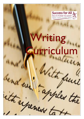**Success for All SOUTH KIRKBY ACADEMY**<br>Dedication Aspiration Co-operation Inspiration



## **Triting Curriculum**

Vita

ren ta

les the

it up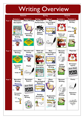## Writing Overview

|        | <b>Autumn</b>                                                                                                                       |                                                       | <b>Spring</b>                                                         |                                                                                                                                                                  | <b>Summe</b>                                                             |                                                                                 |
|--------|-------------------------------------------------------------------------------------------------------------------------------------|-------------------------------------------------------|-----------------------------------------------------------------------|------------------------------------------------------------------------------------------------------------------------------------------------------------------|--------------------------------------------------------------------------|---------------------------------------------------------------------------------|
|        | <b>Autumn I</b>                                                                                                                     | <b>Autumn 2</b>                                       | <b>Spring I</b>                                                       | <b>Spring 2</b>                                                                                                                                                  | Summer I                                                                 | <b>Summer 2</b>                                                                 |
| Year 3 | Character<br>description<br><b>Character</b><br><b>Description</b><br><b>&amp; Traits</b><br><b>Narrative and</b><br><b>Setting</b> | <b>Diary Writing</b><br><b>Instruction</b><br>Writing | <b>Poems</b> for<br>Performance<br><b>Report</b><br>Writing           | Non-<br>Chronological<br><b>Reports</b><br>Non-chronologica<br>Reports<br><b>Poetry</b>                                                                          | <b>Playscript</b><br>$\sqrt{\frac{2}{3}}$<br>Myths and<br><b>Legends</b> | <b>Persuasive</b><br><b>Writing</b><br>Persuade Me!<br>Letter<br><b>Writing</b> |
|        | Writing<br><b>NARRATIVE</b><br>$u_{\alpha\alpha\gamma}^{th}$                                                                        | <b>Instruction</b><br>Zone!                           |                                                                       | Poetr                                                                                                                                                            |                                                                          |                                                                                 |
| Year 4 | <b>Instruction</b>                                                                                                                  | <b>Narrative and</b>                                  | <b>Myths and</b>                                                      | Non-                                                                                                                                                             | <b>Recount</b>                                                           | <b>Playscript</b>                                                               |
|        | <b>Writing</b>                                                                                                                      | <b>Setting</b>                                        | <b>Legends</b>                                                        | Chronological                                                                                                                                                    | <b>Writing</b>                                                           |                                                                                 |
|        |                                                                                                                                     | Writing<br>NARRATIVE                                  |                                                                       | <b>Reports</b>                                                                                                                                                   |                                                                          |                                                                                 |
|        | Instruction<br>Zone!                                                                                                                | uterney                                               |                                                                       | Non-chronological<br>Reports                                                                                                                                     | <b>BOONT</b><br>What?<br>WEITING<br>Where?<br>How?<br>When?              |                                                                                 |
|        | <b>Persuasive</b>                                                                                                                   |                                                       |                                                                       |                                                                                                                                                                  | <b>Letter</b>                                                            | Newspaper                                                                       |
|        | <b>Writing</b>                                                                                                                      | <b>Poetry</b>                                         | Character<br>description                                              | <b>Explanation</b><br><b>Writing</b>                                                                                                                             | <b>Writing</b>                                                           | reports                                                                         |
|        | gecoment<br>Persuade Me!                                                                                                            | Hetr                                                  | <b>Character</b><br><b>Description</b><br><b>Traits</b>               | Explanation<br>Writting<br>$-00$<br>Explanation texts tell us<br>how or why something happens<br>They describe a process and<br>they also give reasons.          | Now                                                                      | Daily Times<br><b>NEWS</b><br>FLASH!                                            |
| Year 5 | <b>Narrative</b>                                                                                                                    | <b>Newspaper</b>                                      | Non-                                                                  | <b>Diary</b>                                                                                                                                                     | <b>Recount</b>                                                           | <b>Poetry</b>                                                                   |
|        | <b>Writing</b>                                                                                                                      | <b>Reports</b>                                        | Chronological                                                         | <b>Writing</b>                                                                                                                                                   | <b>Writing</b>                                                           |                                                                                 |
|        | Writing<br>NARRATIVE<br>uterney                                                                                                     | Daily Times<br><b>NEWS</b><br>FLASH!                  | <b>Reports</b><br>Non-chronologica<br>Reports                         |                                                                                                                                                                  | <b>BOONT</b><br>What?<br>WEITENG<br>Where?<br>How?<br>When?              | Poetry)<br><b>Adventure</b>                                                     |
|        | <b>Persuasive</b>                                                                                                                   |                                                       | <b>Setting</b>                                                        |                                                                                                                                                                  | Letter                                                                   | <b>Writing</b>                                                                  |
|        | <b>Writing</b>                                                                                                                      | <b>Report</b>                                         | description                                                           | <b>Explanation</b>                                                                                                                                               | <b>Writing</b>                                                           |                                                                                 |
|        |                                                                                                                                     | Writing                                               | Setting of a Story                                                    | <b>Writing</b>                                                                                                                                                   |                                                                          |                                                                                 |
|        | Persuade Me!                                                                                                                        |                                                       | The Booth<br>Warrenon.<br>Where and when I<br>a story takes<br>place. | <b>Explanation</b><br>Writting<br>$-00$<br>Explanation texts tell us<br>how or why something happens<br>They describe a process and they also give reasons.<br>Л |                                                                          |                                                                                 |
|        |                                                                                                                                     |                                                       |                                                                       |                                                                                                                                                                  |                                                                          |                                                                                 |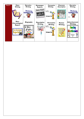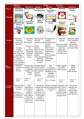|                    | <b>Autumn</b>                                     |                                   |                                         | <b>Spring</b>                                            | <b>Summer</b>                         |                              |
|--------------------|---------------------------------------------------|-----------------------------------|-----------------------------------------|----------------------------------------------------------|---------------------------------------|------------------------------|
|                    | <b>Autumn I</b>                                   | <b>Autumn 2</b>                   | <b>Spring I</b>                         | <b>Spring 2</b>                                          | <b>Summer I</b>                       | <b>Summer 2</b>              |
| Year 3             | Character                                         | Diary Writing                     | <b>Poems</b> for                        | Non-<br>Chronological                                    | <b>Playscript</b>                     | <b>Persuasive</b><br>Writing |
|                    | description                                       |                                   | Performance                             | <b>Reports</b>                                           |                                       |                              |
| <b>Overview</b>    | <b>haracter</b><br><b>Description</b><br>& Trajts | <b>Instruction</b>                | <b>Report</b><br><b>Writing</b>         | Non-chronologica<br>Reports                              | $\sqrt[2]{2}$<br><b>Myths and</b>     | Persuade Me!                 |
|                    | <b>Narrative and</b>                              | <b>Writing</b>                    |                                         | <b>Poetry</b>                                            | <b>Legends</b>                        | Letter<br>Writing            |
|                    | <b>Setting</b>                                    |                                   |                                         |                                                          |                                       |                              |
|                    | Writing<br>NARRATIVE<br>uterney                   | <b>Instruction</b><br>Zone!       |                                         |                                                          |                                       |                              |
|                    |                                                   |                                   |                                         |                                                          |                                       |                              |
|                    | Narratives -                                      | Instruction                       | Compose and                             | Compose and                                              | Myths and                             | Persuasive leaflet           |
| <b>Content</b>     | describing                                        | writing.                          | ehearse <sup>-</sup>                    | rehearse                                                 | Legends.                              | Time adverbials,             |
|                    | settings and<br>characters.                       | Punctuation.                      | sentences orally sentences orally       | -Poetry.                                                 | Persuasive leaflet                    | adjectives,<br>apostrophes,  |
|                    |                                                   | Commas in a                       | Poetry.                                 | Reports.                                                 | Time adverbials,                      | commas used                  |
|                    | Creating                                          | list,                             | Reports.                                | Non-narrative                                            | adjectives,                           | correctly in lists.          |
|                    | settings,                                         | conjunctions.                     | Non-narrative                           | using simple                                             | apostrophes,                          |                              |
|                    | narrative and                                     | Organising                        | using simple                            | organisational                                           | commas used                           |                              |
|                    | plot. Organising<br>paragraphs                    | paragraphs<br>around a            | organisational<br>devices.              | devices.<br>Time adverbials,                             | correctly in lists.                   |                              |
|                    | around a theme.                                   | theme.                            | Time adverbials, adjectives,            |                                                          |                                       |                              |
|                    | Speech,                                           |                                   | adjectives,                             | apostrophes,                                             |                                       |                              |
|                    | subordination,                                    |                                   | apostrophes,                            | commas.                                                  |                                       |                              |
|                    | tense, expanded<br>noun phrases.                  |                                   | commas.                                 |                                                          |                                       |                              |
| <b>Key</b>         | <b>Expanded</b>                                   |                                   | Forest, author, Celandine, flower,      | Non-                                                     | Myths, legends,                       | Myths,                       |
| <b>Vocab</b>       | noun phrases,                                     |                                   | illustrator, diary, survival, peculiar, | chronological,                                           | persuasion,                           | legends,                     |
|                    | speech,<br>narrative                              | accidentally,<br>disappear, text, | promise, position,<br>often, opposite,  | paragraphs, sub-                                         | leaflet, features                     | persuade                     |
|                    |                                                   | triumph,                          | favourite,                              | headings, lay-out.                                       |                                       | leaflet, features            |
|                    |                                                   | magical                           | extreme,                                | Language,<br>structure,                                  |                                       |                              |
|                    |                                                   |                                   | experiment                              | presentation                                             |                                       |                              |
|                    | Year 3/4                                          | Year 3 / 4                        | Year 3/4                                |                                                          |                                       | Year $3/4$                   |
|                    | words                                             | words                             | words                                   | Year 3 / 4 words                                         | Year 3/4<br>words                     | words                        |
|                    |                                                   |                                   |                                         |                                                          |                                       |                              |
| <b>Composition</b> | Pupils can write                                  | Write                             | The pupil can                           | Features of writing                                      | In discussion with                    | Some use of                  |
| and Effect         | for different                                     | effectively and<br>coherently for | about the                               | recognise and talk mainly appropriate<br>to the selected | teacher, show an<br>awareness of      | expanded noun<br>phrases to  |
|                    | purposes.                                         | a range of                        | audience of a                           | task.                                                    | audience and                          | describe adding              |
|                    | In narratives,                                    | purposes,                         | particular text,                        |                                                          | purpose through                       | relevant and                 |
|                    | some appropriate<br>use of speech to              | drawing on<br>their reading to    | drawing on some<br>of its language      |                                                          | formal/ informal<br>language choices. | meaningful detail.           |
|                    | convey character.                                 | inform the                        | features                                |                                                          |                                       |                              |
|                    |                                                   | vocabulary and                    | /vocabulary to                          |                                                          |                                       |                              |
|                    |                                                   | grammar of<br>their writing.      | inform thinking.                        |                                                          |                                       |                              |
|                    |                                                   |                                   |                                         |                                                          |                                       |                              |
|                    |                                                   |                                   |                                         |                                                          |                                       |                              |
|                    |                                                   |                                   |                                         |                                                          |                                       |                              |
|                    |                                                   |                                   |                                         |                                                          |                                       |                              |
|                    |                                                   |                                   |                                         |                                                          |                                       |                              |
|                    |                                                   |                                   |                                         |                                                          |                                       |                              |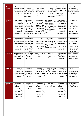| <b>Organisation</b><br>of text.       | Some use of<br>simple adverbials<br>and pronouns to<br>link sentences,<br>sections or<br>paragraphs.                                                                                                   | Some use of<br>simple adverbials<br>and pronouns to<br>link sentences,<br>sections or<br>paragraphs.                                        | Some use of<br>simple adverbials<br>and pronouns to<br>link sentences,<br>sections or<br>paragraphs.                                                                                            | Some use of<br>simple<br>adverbials and<br>pronouns to linklink sentences,<br>sentences,<br>sections or<br>paragraphs.                                                | Some use of<br>simple adverbials<br>and pronouns to<br>sections or<br>paragraphs.                                                                                     | Some use of simple<br>adverbials and<br>pronouns to link<br>sentences, sections<br>or paragraphs.                                                                            |
|---------------------------------------|--------------------------------------------------------------------------------------------------------------------------------------------------------------------------------------------------------|---------------------------------------------------------------------------------------------------------------------------------------------|-------------------------------------------------------------------------------------------------------------------------------------------------------------------------------------------------|-----------------------------------------------------------------------------------------------------------------------------------------------------------------------|-----------------------------------------------------------------------------------------------------------------------------------------------------------------------|------------------------------------------------------------------------------------------------------------------------------------------------------------------------------|
| <b>Sentence</b><br><b>Structure</b>   | Some use of<br>subordinating and<br>co-ordinating<br>conjunctions to<br>join sentences<br>with more than<br>one clause (eg and, with more than<br>but, so, or,<br>because, when, if) and, but, so, or, | Some use of<br>subordinating<br>and co-<br>ordinating<br>conjunctions to<br>join sentences<br>one clause (eg<br>because, when,<br>if)       | Some use of<br>subordinating and<br>co-ordinating<br>conjunctions to<br>join sentences<br>with more than<br>one clause (eg<br>and, but, so, or,<br>because, when, if)                           | Some use of<br>subordinating and<br>co-ordinating<br>conjunctions to<br>join sentences with<br>more than one<br>clause (eg and, but,<br>so, or, because,<br>when, if) | Some use of<br>subordinating and<br>co-ordinating<br>conjunctions to<br>join sentences<br>with more than<br>one clause (eg and,<br>but, so, or,<br>because, when, if) | Some use of<br>subordinating<br>and co-<br>ordinating<br>conjunctions to<br>join sentences<br>with more than<br>one clause (eg<br>and, but, so, or,<br>because, when,<br>if) |
| <b>Tense and</b><br><b>Verb Forms</b> | Tense choice<br>mostly consistent<br>and grammatically<br>accurate including<br>use of present<br>perfect tense<br>where<br>appropriate.                                                               | Tense choice<br>mostly<br>consistent and<br>grammatically<br>accurate<br>including use of<br>present perfect<br>tense where<br>appropriate. | Tense choice<br>mostly consistent mostly consistent<br>and grammatically and grammatically<br>accurate including accurate including<br>use of present<br>perfect tense<br>where<br>appropriate. | Tense choice<br>use of present<br>perfect tense<br>where appropriate.                                                                                                 | Tense choice<br>mostly consistent<br>and grammatically<br>accurate including<br>use of present<br>perfect tense<br>where<br>appropriate.                              | Tense choice<br>mostly<br>consistent and<br>grammatically<br>accurate<br>including use of<br>present perfect<br>tense where<br>appropriate.                                  |
| <b>Punctuation</b>                    | Capital letters and<br>full stops<br>consistently used<br>accurately.                                                                                                                                  | Use the range<br>of punctuation<br>taught,<br>correctly.                                                                                    | Some correct use<br>of inverted<br>commas                                                                                                                                                       | Commas<br>used<br>correctly in<br>lists                                                                                                                               | Apostrophes for<br>singular possession<br>used mostly<br>correctly                                                                                                    | Apostrophes for<br>singular<br>possession used<br>mostly correctly                                                                                                           |
| <b>Handwriting</b>                    | Letters are<br>consistent in size<br>and proportion<br>with both letters<br>and words evenly<br>spaced.                                                                                                | Letters are<br>joined using<br>diagonal and<br>horizontal<br>strokes where<br>appropriate                                                   | Letters are<br>consistent in size<br>and proportion<br>with both letters<br>and words evenly<br>spaced.                                                                                         | Letters are joined<br>using diagonal and<br>horizontal strokes<br>where appropriate                                                                                   | Letters are<br>consistent in size<br>and proportion<br>with both letters<br>and words evenly<br>spaced.                                                               | Letters are<br>consistent in size<br>and proportion<br>with both letters<br>and words<br>evenly spaced.                                                                      |
| Re- draft<br>Re-edit                  | Propose changes<br>to grammar and<br>vocabulary to<br>improve<br>consistency,<br>including the<br>accurate use of<br>pronouns in<br>sentences                                                          | Proofread for<br>spelling and<br>punctuation<br>errors                                                                                      | Propose changes<br>to grammar and<br>vocabulary to<br>improve<br>consistency,<br>including the<br>accurate use of<br>pronouns in<br>sentences                                                   | Proofread for<br>spelling and<br>punctuation errors                                                                                                                   | Propose changes<br>to grammar and<br>vocabulary to<br>improve<br>consistency,<br>including the<br>accurate use of<br>pronouns in<br>sentences                         | Proofread for<br>spelling and<br>punctuation errors                                                                                                                          |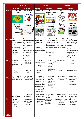|                            | <b>Autumn</b>                                                                                                           |                                                                                                                                                                                                                          | <b>Spring</b>                                                                                                                                                                       |                                                                                                                                                                              | <b>Summe</b>                                                                                              |                                                                                                                                                               |
|----------------------------|-------------------------------------------------------------------------------------------------------------------------|--------------------------------------------------------------------------------------------------------------------------------------------------------------------------------------------------------------------------|-------------------------------------------------------------------------------------------------------------------------------------------------------------------------------------|------------------------------------------------------------------------------------------------------------------------------------------------------------------------------|-----------------------------------------------------------------------------------------------------------|---------------------------------------------------------------------------------------------------------------------------------------------------------------|
|                            | <b>Autumn I</b>                                                                                                         | <b>Autumn 2</b>                                                                                                                                                                                                          | <b>Spring I</b>                                                                                                                                                                     | <b>Spring 2</b>                                                                                                                                                              | <b>Summer I</b>                                                                                           | <b>Summer 2</b>                                                                                                                                               |
| Year 4                     | <b>Instruction</b><br>Writing<br><b>Instruction</b><br>Zone!<br><b>Persuasive</b>                                       | <b>Narrative and</b><br><b>Setting</b><br>Writing<br>NARRATIVE<br>utracy                                                                                                                                                 | <b>Myths and</b><br><b>Legends</b><br>Character                                                                                                                                     | Non-<br>Chronological<br><b>Reports</b><br>Non-chronologica<br>Reports<br><b>Explanation</b>                                                                                 | <b>Recount</b><br>Writing<br><b>BOONT</b><br>What?<br><b>VRITING</b><br>Where?<br>How?<br>When:<br>Letter | <b>Playscript</b><br><b>Newspaper</b><br>reports                                                                                                              |
|                            | <b>Writing</b><br>summer (d)<br>Persuade Me!                                                                            | <b>Poetry</b>                                                                                                                                                                                                            | description<br><b>Character</b><br><b>Description</b><br>Traits                                                                                                                     | <b>Writing</b><br><b>Explanation</b><br>Whitthe<br>$-00$<br>Explanation texts tell us<br>how or why something happen<br>They describe a process and they also give reasons.  | <b>Writing</b>                                                                                            | Daily Times<br>NEWS<br>FLASH!                                                                                                                                 |
| <b>Content Write an</b>    | Instruction on<br>how to embalm a<br>body.<br>Write a travel<br>brochure of the<br>pyramids<br>(persuasive<br>writing). | To construct a<br>setting description<br>in a narrative.<br>Write a poem<br>about the river<br><b>Nile</b><br>To construct a<br>setting description<br>in a narrative.<br>Write a poem<br>about the river<br><b>Nile</b> | Myths and<br>Legends retell a<br>famous Geek<br>Myth.<br>Character<br>description to<br>design own Greek<br>god.                                                                    | Non<br>Chronological<br>report research<br>plan, write and<br>publish a report<br>on ancient Greek a Roman soldier.<br>life.<br>Explanation on<br>how a food chain<br>works. | Recount of the<br>eruption of Mount Write a playscript<br>Vesuvius.<br>Letter home from year boy.         | Playscript<br>about an exciting<br>scene in the 1000-<br>Newsletter<br>Write a newspaper<br>article about the<br>fire that burned<br>down the Oak<br>Cottage. |
| <b>Key</b><br><b>Vocab</b> | Instruction,<br>embalm.<br>persuade, travel,<br><b>Brochure</b><br>Year 3/4<br>words                                    | Description,<br>Narrative,<br>poetry, setting.<br>Year 3/4<br>words                                                                                                                                                      | Myths and<br>Legends, Greek,<br>description,<br>design<br>Year 3/4<br>words                                                                                                         | <b>Non</b><br>chronological,<br>report,<br>research,<br>publish.<br>ancient,<br>explanation<br>Year 3 / 4 words                                                              | Recount, letter,<br>Roman<br>Year 3 / 4 words                                                             | Playscript,<br>newsletter,<br>article,<br>Year 3 / 4 words                                                                                                    |
| <b>Effect</b>              | Pupils can write<br>effectively for a<br>range of purposes.                                                             | In narratives,<br>describe settings<br>and characters                                                                                                                                                                    | . The pupil can<br>write effectively<br>for a range of<br>purposes and<br>audiences,<br>drawing on their<br>reading to inform<br>the vocabulary<br>and grammar of<br>their writing. | Features of<br>text type or<br>genre are<br>appropriate<br>for task e.g.<br>layout, verb<br>form and<br>formality                                                            | Some use of<br>dialogue to convey<br>character                                                            | Use expanded<br>noun phrases,<br>adverbs and<br>adjectives for<br>precision, clarity<br>and impact.                                                           |
| <b>Text</b><br>Hand -      | Use of fronted<br>adverbials and<br>pronoun<br>referencing to link<br>within and<br>between<br>paragraphs               | Use of fronted<br>adverbials and<br>pronoun<br>referencing to<br>link within and<br>between<br>paragraphs                                                                                                                | Use of fronted<br>adverbials and<br>pronoun<br>within and<br>between<br>paragraphs                                                                                                  | Use of fronted<br>adverbials and<br>pronoun<br>referencing to link <sup>referencing</sup> to link<br>within and<br>between<br>paragraphs                                     | Use of fronted<br>adverbials and<br>pronoun<br>referencing to link<br>within and<br>between<br>paragraphs | Use of fronted<br>adverbials and<br>pronoun<br>referencing to<br>link within and<br>between<br>paragraphs                                                     |
| writing                    |                                                                                                                         |                                                                                                                                                                                                                          |                                                                                                                                                                                     |                                                                                                                                                                              |                                                                                                           |                                                                                                                                                               |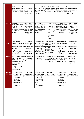|                     | Letters are joined<br>using diagonal and<br>horizontal strokes<br>where appropriate                                                                                                       | Letters are joined<br>using diagonal<br>and horizontal<br>strokes where<br>appropriate                                                  | Letters are joined Letters are joined<br>where<br>appropriate                                                                                            | using diagonal and using diagonal and<br>horizontal strokes horizontal strokes<br>where appropriate                                          | Letters are joined Letters are joined<br>using diagonal and using diagonal and<br>horizontal strokes horizontal strokes<br>where appropriate where | appropriate                                                                                                                             |
|---------------------|-------------------------------------------------------------------------------------------------------------------------------------------------------------------------------------------|-----------------------------------------------------------------------------------------------------------------------------------------|----------------------------------------------------------------------------------------------------------------------------------------------------------|----------------------------------------------------------------------------------------------------------------------------------------------|----------------------------------------------------------------------------------------------------------------------------------------------------|-----------------------------------------------------------------------------------------------------------------------------------------|
| <b>Structure</b>    | Variation sentence<br>structure through a<br>range of openings<br>(Fronted<br>adverbials, subject<br>reference and<br>speech)                                                             | Using a range of<br>conjunctions<br>(Subordinating<br>and co-<br>ordinating) to join<br>sentences with<br>more than one<br>clause.      | Variation of<br>sentence structure<br>through a range of<br>openings (Fronted<br>adverbials, subject<br>reference and<br>speech)                         | Using a range<br>of<br>conjunctions<br>(Subordinatin<br>g and co-<br>ordinating) to<br>join<br>sentences<br>with more<br>than one<br>clause. | Variation of<br>sentence structure<br>through a range of<br>openings (Fronted<br>adverbials, subject<br>reference and<br>speech)                   | Using a range of<br>conjunctions<br>(Subordinating<br>and co-<br>ordinating) to join<br>sentences with<br>more than one<br>clause.      |
| <b>Tense</b>        | Using different<br>verb forms which<br>are mostly<br>accurate (present<br>and past<br>progressive,<br>present perfect<br>and ing verbs)                                                   | Using different<br>verb forms which<br>are mostly<br>accurate (present<br>and past<br>progressive,<br>present perfect<br>and ing verbs) | Using different<br>verb forms which verb forms which<br>are mostly<br>accurate (present<br>and past<br>progressive,<br>present perfect<br>and ing verbs) | Using different<br>are mostly<br>accurate (present<br>and past<br>progressive,<br>present perfect<br>and ing verbs)                          | Using different<br>verb forms which<br>are mostly<br>accurate (present<br>and past<br>progressive,<br>present perfect<br>and ing verbs)            | Using different<br>verb forms<br>which are<br>mostly accurate<br>(present and<br>past progressive,<br>present perfect<br>and ing verbs) |
|                     | Puntuate Capital letters, full Use the range of<br>stops, question<br>marks and<br>exclamation marks<br>consistently used<br>accurately.<br>(Correct sentence<br>boundary<br>demarcation) | punctuation<br>taught, correctly.                                                                                                       | Inverted commas<br>used mainly<br>correctly                                                                                                              | Commas used to<br>mark fronted<br>adverbials - mainly<br>correctly                                                                           | Apostrophes for<br>singular and plural<br>possession used<br>mainly correctly                                                                      | Apostrophes for<br>singular and<br>plural possession<br>used mainly<br>correctly                                                        |
| Re-edit<br>Re-draft | Propose changes<br>to grammar and<br>vocabulary to<br>improve<br>consistency,<br>including the<br>accurate use of<br>pronouns in<br>sentences                                             | Proofread for<br>spelling and<br>punctuation errors                                                                                     | Propose changes<br>to grammar and<br>vocabulary to<br>improve<br>consistency,<br>including the<br>accurate use of<br>pronouns in<br>sentences            | Proofread for<br>spelling and<br>punctuation errors                                                                                          | Propose changes<br>to grammar and<br>vocabulary to<br>improve<br>consistency,<br>including the<br>accurate use of<br>pronouns in<br>sentences      | Proofread for<br>spelling and<br>punctuation errors                                                                                     |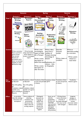|                |                                 | <b>Autumn</b>                         | <b>Spring</b>                       |                                                           | <b>Summe</b>                        |                    |
|----------------|---------------------------------|---------------------------------------|-------------------------------------|-----------------------------------------------------------|-------------------------------------|--------------------|
|                | <b>Autumn I</b>                 | <b>Autumn 2</b>                       | <b>Spring I</b>                     | <b>Spring 2</b>                                           | <b>Summer I</b>                     | Summer 2           |
| Year 5         | <b>Narrative</b>                | <b>Newspaper</b>                      | Non-                                | <b>Diary</b>                                              | <b>Recount</b>                      | <b>Poetry</b>      |
|                | <b>Writing</b>                  | <b>Reports</b>                        | Chronological                       | <b>Writing</b>                                            | <b>Writing</b>                      |                    |
|                |                                 |                                       | <b>Reports</b>                      |                                                           |                                     |                    |
|                | Writing<br>NARRATIVE            |                                       |                                     |                                                           |                                     |                    |
|                |                                 | Daily Times                           | Jon-chronologica                    |                                                           |                                     |                    |
|                |                                 |                                       | Reports                             |                                                           | BECONNET<br>What?<br><b>VRITING</b> |                    |
|                | utracy                          | NEWS<br>FLASH!                        |                                     |                                                           | Where?<br>How?                      |                    |
|                |                                 |                                       |                                     |                                                           |                                     | <b>Adventure</b>   |
|                | <b>Persuasive</b>               |                                       |                                     |                                                           | Letter                              | Writing            |
|                | <b>Writing</b>                  | <b>Report</b>                         | <b>Setting</b>                      | <b>Explanation</b>                                        | <b>Writing</b>                      |                    |
|                |                                 | Writing                               | description                         | <b>Writing</b>                                            |                                     |                    |
|                |                                 |                                       | Setting of a Story                  |                                                           |                                     |                    |
|                | Persuade Me!                    |                                       | e direkto                           | <b>Explemedion</b>                                        |                                     |                    |
|                |                                 |                                       | where and when<br>a story takes     | Whitema<br>$\bullet$                                      |                                     |                    |
|                |                                 |                                       | piace.                              | Explanation texts tell us<br>how or why something happens |                                     |                    |
|                |                                 |                                       |                                     | They describe a process and they also give reasons.       |                                     |                    |
|                |                                 |                                       |                                     |                                                           |                                     |                    |
| <b>Content</b> |                                 |                                       | Write a non-                        | Write a diary                                             | Describe                            | Write an           |
|                | Write a narrative               | Write formally                        | chronological                       | entry from a                                              | Victorian                           | alternative ending |
|                | from a survivor's               | using reported and report on daily    |                                     | resident of                                               | London                              | to a narrative     |
|                | point of view                   | direct speech to                      | life in Pompeii                     | Pompeii showing                                           |                                     |                    |
|                | Use correct                     | create a newspaper                    |                                     | chronology of                                             |                                     | Write a poem       |
|                | features of<br>persuasion and a | report                                | Write a scene                       | disaster                                                  | Write a letter of                   | linked to a        |
|                | etter to convince               |                                       | description of                      |                                                           | complaint                           | local miner        |
|                | Hygelec to send                 |                                       | before the eventExplanation of a    |                                                           |                                     |                    |
|                | Beowulf to help                 |                                       |                                     | volcano – links                                           |                                     |                    |
|                |                                 |                                       | Write a scene                       | to Geography                                              |                                     |                    |
|                |                                 |                                       | description of                      |                                                           |                                     |                    |
|                |                                 |                                       | after the event                     |                                                           |                                     |                    |
|                |                                 |                                       |                                     |                                                           |                                     |                    |
|                |                                 |                                       |                                     |                                                           |                                     |                    |
|                |                                 |                                       |                                     |                                                           |                                     |                    |
|                |                                 |                                       |                                     |                                                           |                                     |                    |
| <b>Key</b>     |                                 | Vocabulary related Vocabulary related | Vocabulary linked Vocabulary linked |                                                           | Vocabulary linked                   | Vocabulary         |
| <b>Vocab</b>   | to Beowulf                      | to Beowulf                            | to text and period to genre         |                                                           | to text and period                  | linked to genre    |
|                |                                 |                                       | in history                          |                                                           | in history                          |                    |
|                | Year 5/6 spelling               | Year 5/6 spelling                     |                                     |                                                           |                                     |                    |
|                | list.                           | llist                                 |                                     |                                                           |                                     |                    |
|                |                                 | Vocabulary related Vocabulary related |                                     |                                                           |                                     |                    |
|                | specific to its                 | specific to its genre                 |                                     |                                                           |                                     |                    |
|                | genre including its<br>features | including its<br>features             |                                     |                                                           |                                     |                    |
|                |                                 |                                       |                                     |                                                           |                                     |                    |
| <b>Effect</b>  | In narratives.                  | Some evidence of                      | Distinguish                         | Some use of                                               | <b>Writing shows</b>                | Integrate          |
|                | describe settings,              | selecting                             | between the                         | adverbs,                                                  | some awareness                      | dialogue in        |
|                | characters and                  | vocabulary and                        | language of                         | preposition                                               | of levels of                        | narratives to      |
|                | atmosphere                      | grammatical                           | speech and                          | phrases and<br>expanded                                   | formality although                  | convey             |
|                |                                 | structures that<br>reflect what the   | writing and                         | noun phrases                                              | this may not be                     | character and/or   |
|                |                                 | writing requires                      | sometimes<br>choose the             | effectively to                                            | well managed                        | advance action     |
|                |                                 |                                       | appropriate                         | add detail,                                               |                                     |                    |
|                |                                 |                                       | register.                           | qualification                                             |                                     |                    |
|                |                                 |                                       |                                     | and precision                                             |                                     |                    |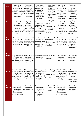|                  | Using some                                | Using some                                              | Using some                                | Using some                       | Using some                                | Using some                |
|------------------|-------------------------------------------|---------------------------------------------------------|-------------------------------------------|----------------------------------|-------------------------------------------|---------------------------|
| <b>Text</b>      | cohesive devices,                         | cohesive devices,                                       | cohesive devices,                         | cohesive                         | cohesive devices,                         | cohesive                  |
|                  | including use of                          | including use of                                        | including use of                          | devices,                         | including use of                          | devices,                  |
|                  | adverbials (time,                         | adverbials (time,                                       | adverbials (time,                         | including use<br>of adverbials   | adverbials (time,                         | including use of          |
|                  |                                           | place and number), place and number),                   | place and                                 | (time, place                     | place and                                 | adverbials (time,         |
|                  | within and across                         | within and across                                       | number), within                           | and number),                     | number), within                           | place and                 |
|                  | sentences and                             | sentences and                                           | and across                                | within and                       | and across                                | number), within           |
|                  | paragraphs                                | paragraphs                                              | sentences and                             | across                           | sentences and                             | and across                |
|                  |                                           |                                                         | paragraphs                                | sentences and                    | paragraphs                                | sentences and             |
|                  |                                           |                                                         |                                           | paragraphs                       |                                           | paragraphs                |
| <b>Structure</b> | Use of complex                            | Using a wider                                           | Use of complex                            | Using a wider                    | Use of complex                            | Using a wider             |
|                  | structures                                | range of                                                | structures                                | range of<br>conjunctions         | structures                                | range of                  |
|                  | including the use<br>of relative clauses. | conjunctions<br>(Subordinating and of relative clauses. | including the use                         | (Subordinating and               | including the use<br>of relative clauses. | conjunctions              |
|                  | Sentence                                  | co-ordinating) to                                       | Sentence                                  | co-ordinating) to                | Sentence                                  | (Subordinating<br>and co- |
|                  | structures are                            | join sentences with                                     | structures are                            | join sentences                   | structures are                            | ordinating) to            |
|                  | varied throughout                         | more than one                                           | varied throughout                         | with more than                   | varied throughout                         | join sentences            |
|                  | text.                                     | clause                                                  | text.                                     | lone clause                      | text.                                     | with more than            |
|                  |                                           |                                                         |                                           |                                  |                                           | one clause                |
|                  |                                           |                                                         |                                           |                                  |                                           |                           |
| <b>Tense</b>     | Verb forms used                           | Verb forms used                                         | Verb forms used                           | Verb forms used                  | Verb forms used                           | Verb forms used           |
| form             | accurately and                            | accurately and                                          | accurately and                            | accurately and                   | accurately and                            | accurately and            |
|                  | appropriate tense                         | appropriate tense                                       | appropriate tense appropriate tense       |                                  | appropriate tense                         | appropriate               |
|                  | choice maintained                         | choice maintained                                       | choice maintained choice maintained       |                                  | choice maintained                         | tense choice              |
|                  | including use of                          | including use of                                        | including use of                          | including use of<br>modal verbs. | including use of                          | maintained                |
|                  | modal verbs.                              | modal verbs.                                            | modal verbs.                              |                                  | modal verbs.                              | including use of          |
|                  |                                           |                                                         |                                           |                                  |                                           | modal verbs.              |
|                  |                                           |                                                         |                                           |                                  |                                           |                           |
|                  |                                           |                                                         |                                           |                                  |                                           |                           |
| <b>Punct-</b>    |                                           |                                                         |                                           |                                  |                                           |                           |
| uation           | Use the full range                        | Use the full range                                      | Inverted commas Some correct use          |                                  | Commas (clarify                           | Commas (clarify           |
|                  | of punctuation                            | of punctuation                                          | used mostly                               | of punctuation for               | meaning and                               | meaning and               |
|                  | taught in lower                           | taught in lower Key                                     | correctly                                 | parenthesis.                     | marking phrases                           | marking phrases           |
|                  | Key Stage 2 mostly                        | Stage 2 mostly                                          |                                           |                                  | and clauses)                              | and clauses)              |
|                  | correctly                                 | correctly                                               |                                           |                                  |                                           |                           |
|                  |                                           |                                                         |                                           |                                  |                                           |                           |
|                  |                                           |                                                         |                                           |                                  |                                           |                           |
|                  |                                           |                                                         |                                           |                                  |                                           |                           |
| Hand-            | Maintain legibility,                      | Maintain legibility,                                    | Maintain legibility, Maintain legibility, |                                  | Maintain legibility,                      | Maintain                  |
| writing          | fluency and speed                         | fluency and speed fluency and speed fluency and speed   |                                           |                                  | fluency and speed                         | legibility, fluency       |
|                  | in handwriting                            | in handwriting                                          | in handwriting                            | in handwriting                   | in handwriting                            | and speed in              |
|                  | through choosing                          | through choosing                                        | through choosing through choosing         |                                  | through choosing                          | handwriting               |
|                  | whether or not to                         | whether or not to whether or not to whether or not to   |                                           |                                  | whether or not to                         | through                   |
|                  | join specific                             | join specific letters.                                  | join specific                             | join specific                    | join specific                             | choosing                  |
|                  | letters.                                  |                                                         | letters.                                  | letters.                         | letters.                                  | whether or not            |
|                  |                                           |                                                         |                                           |                                  |                                           | to join specific          |
|                  |                                           |                                                         |                                           |                                  |                                           | letters.                  |
|                  |                                           |                                                         |                                           |                                  |                                           |                           |
| Re-edit /        | Propose changes                           | Proofread for                                           | Propose changes                           | Proofread for                    | Propose changes                           | Proofread for             |
| <b>Re-draft</b>  | to vocabulary,                            | spelling and                                            | to vocabulary,                            | spelling and                     | to vocabulary,                            | spelling and              |
|                  | grammar and                               | punctuation errors                                      | grammar and                               | punctuation<br>errors.           | grammar and                               | punctuation               |
|                  | punctuation to                            |                                                         | punctuation to                            |                                  | punctuation to                            | errors.                   |
|                  | enhance effects                           |                                                         | enhance effects                           |                                  | enhance effects<br>and clarify meaning    |                           |
|                  | and clarify meaning.                      |                                                         | and clarify                               |                                  |                                           |                           |
|                  |                                           |                                                         | meaning                                   |                                  |                                           |                           |
|                  |                                           |                                                         |                                           |                                  |                                           |                           |
|                  |                                           |                                                         |                                           |                                  |                                           |                           |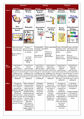|                            | <b>Autumn</b>                                                                                                                                                                                                                            |                                                                                                                                                                                                                                                                                                         | <b>Spring</b>                                                                                                                                              |                                                                                                                                                                                               | <b>Summe</b>                                                                                                                                                                                                                                                             |                                                                                                                                                                          |
|----------------------------|------------------------------------------------------------------------------------------------------------------------------------------------------------------------------------------------------------------------------------------|---------------------------------------------------------------------------------------------------------------------------------------------------------------------------------------------------------------------------------------------------------------------------------------------------------|------------------------------------------------------------------------------------------------------------------------------------------------------------|-----------------------------------------------------------------------------------------------------------------------------------------------------------------------------------------------|--------------------------------------------------------------------------------------------------------------------------------------------------------------------------------------------------------------------------------------------------------------------------|--------------------------------------------------------------------------------------------------------------------------------------------------------------------------|
|                            | <b>Autumn I</b>                                                                                                                                                                                                                          | <b>Autumn 2</b>                                                                                                                                                                                                                                                                                         | <b>Spring I</b>                                                                                                                                            | <b>Spring 2</b>                                                                                                                                                                               | <b>Summer I</b>                                                                                                                                                                                                                                                          | <b>Summer 2</b>                                                                                                                                                          |
| Year 6                     | <b>Diary</b><br><b>Writing</b>                                                                                                                                                                                                           | <b>Narrative</b><br><b>Writing</b>                                                                                                                                                                                                                                                                      | Newspaper<br><b>Reports</b>                                                                                                                                | <b>Persuasive</b><br><b>Writing</b>                                                                                                                                                           | Character<br><b>Description</b>                                                                                                                                                                                                                                          | <b>Narrative</b><br>Writing.                                                                                                                                             |
|                            |                                                                                                                                                                                                                                          | Writing<br>NARRATIVE<br>utracy<br>Lor                                                                                                                                                                                                                                                                   | Daily Times<br>NEWS<br>FLASH!                                                                                                                              | Persuade Me!                                                                                                                                                                                  | :haracter<br><b>Description</b><br><b>Traits</b>                                                                                                                                                                                                                         | Writing<br>NARRATIVE<br>uterney                                                                                                                                          |
|                            | Non-<br>Chronological<br><b>Report</b><br>Non-chronologica<br>Kepor                                                                                                                                                                      | <b>Biography</b><br>A Bio-<br>graphy<br>PERSON'S life                                                                                                                                                                                                                                                   | <b>Descriptive</b><br><b>Writing</b>                                                                                                                       | <b>Persuasive</b><br><b>Writing</b><br>Persuade Me!                                                                                                                                           | <b>Review</b><br>Writing                                                                                                                                                                                                                                                 | <b>Advertisement</b><br>Writing<br><b>Adisem</b><br>How did we ever<br>survive without                                                                                   |
| <b>Content</b>             | Diary entry from<br>the point of the<br>main character.                                                                                                                                                                                  | Produce Ist<br>person narrative<br>from the point of                                                                                                                                                                                                                                                    | Create/publish a<br>newspaper report letter.<br>on the plane                                                                                               |                                                                                                                                                                                               | Write a persuasive Create a character Create a narrative<br>description (with<br>some inclusion of                                                                                                                                                                       | description (with<br>some inclusion of                                                                                                                                   |
|                            | Report linked to<br>W.W II                                                                                                                                                                                                               | an evacuee,<br>accurately<br>conveying<br>thoughts and<br>feelings.                                                                                                                                                                                                                                     | crash<br>Description of<br>above events                                                                                                                    | Write to a<br>company to<br>discourage<br>deforestation                                                                                                                                       | action)<br>Write a review<br>based on the<br><b>Ancient Greeks</b>                                                                                                                                                                                                       | action)<br>Write an<br>advertisement to<br>promote a Mythical<br>creature                                                                                                |
| <b>Key</b><br><b>Vocab</b> | Vocab linked to<br>History;<br>spell correctly<br>most words from<br>the year $3 /$ year 4<br>spelling list, and<br>some words from<br>the year 5 / year 6<br>spelling list                                                              | Vocab linked to<br>History;<br>spell correctly<br>most words from<br>the year 3 / year 4<br>spelling list, and<br>some words from<br>the year $5/$ year 6<br>spelling list                                                                                                                              | Vocab linked to<br>Exploration;<br>spell correctly<br>most words from<br>the year 3 / year<br>4 spelling list, and<br>the year 5 / year<br>6 spelling list | Vocab linked to<br>Exploration;<br>spell correctly<br>most words from<br>the year 3 / year 4<br>spelling list, and<br>some words from some words from<br>the year 5 / year 6<br>spelling list | Vocab linked to<br>Myths and<br>Legends;<br>spell correctly<br>most words from<br>the year 3 / year 4<br>spelling list, and<br>some words from<br>the year $5/$ year 6                                                                                                   | Vocab linked to<br>Myths and<br>Legends;<br>spell correctly<br>most words from<br>the year $3 /$ year 4<br>spelling list, and<br>some words from<br>the year $5/$ year 6 |
| <b>Effect</b>              | The pupil can                                                                                                                                                                                                                            | Select vocabulary                                                                                                                                                                                                                                                                                       | Distinguish                                                                                                                                                | Exercise an                                                                                                                                                                                   | spelling list<br>The pupil can                                                                                                                                                                                                                                           | spelling list<br>In narratives,                                                                                                                                          |
|                            | write effectively<br>for a range of<br>purposes and<br>audiences selecting<br>language that<br>shows good<br>awareness of the<br>reader (e.g. first<br>person in a diary;<br>direct address in<br>instructions and<br>personal writing.) | and grammatical<br>structures that<br>reflect what the<br>writing requires,<br>doing this mostly<br>appropriately (e.g.<br>using contracted<br>forms in dialogue in<br>narrative; using<br>passive verbs to<br>affect how<br>information is<br>presented; using<br>modal verbs to<br>suggest degrees of | between the<br>language of<br>speech and<br>writing and<br>choose the<br>appropriate<br>register.                                                          | assured and<br>conscious control<br>over levels of<br>formality,<br>particularly<br>through<br>manipulating<br>grammar and<br>vocabulary to<br>achieve this                                   | write effectively<br>for a range of<br>purposes and<br>audiences,<br>selecting the<br>appropriate form<br>and drawing<br>independently on<br>what they have<br>read as models for<br>their own writing<br>(e.g. literary<br>language,<br>characterisation,<br>structure) | describe settings,<br>characters and<br>atmosphere<br>Integrate dialogue<br>in narratives to<br>convey character<br>and advance the<br>action.                           |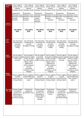| <b>Organise</b><br><b>Text</b>              | Use a range of<br>devices to build                                                                           | Use a range of<br>devices to build                                                                                                                                                                                        | Use a range of<br>devices to build                                                                              | Use a range of<br>devices to build                                                                                                                                               | Use a range of<br>devices to build                                                                                                                                                 | Use a range of<br>devices to build                                                                                                                                                                     |
|---------------------------------------------|--------------------------------------------------------------------------------------------------------------|---------------------------------------------------------------------------------------------------------------------------------------------------------------------------------------------------------------------------|-----------------------------------------------------------------------------------------------------------------|----------------------------------------------------------------------------------------------------------------------------------------------------------------------------------|------------------------------------------------------------------------------------------------------------------------------------------------------------------------------------|--------------------------------------------------------------------------------------------------------------------------------------------------------------------------------------------------------|
|                                             | cohesion.<br>Examples include:                                                                               | cohesion.<br>Examples include:                                                                                                                                                                                            | cohesion.<br>Examples include:                                                                                  | cohesion.<br>Examples include:                                                                                                                                                   | cohesion.<br>Examples include:                                                                                                                                                     | cohesion.<br>Examples include:                                                                                                                                                                         |
|                                             | Conjunctions<br>Adverbials of time Adverbials of time<br>Pronouns<br>Synonyms                                | Conjunctions<br>Adverbials of place Adverbials of place Adverbials<br>Pronouns<br>Synonyms                                                                                                                                | Conjunctions<br>of place<br>Pronouns<br>Synonyms                                                                | Conjunctions<br>Pronouns<br>Synonyms                                                                                                                                             | Conjunctions<br>Adverbials of time Adverbials of time Adverbials of time Adverbials of time<br>Adverbials of place Adverbials of place Adverbials of place<br>Pronouns<br>Synonyms | Conjunctions<br>Pronouns<br>Synonyms                                                                                                                                                                   |
| <b>Sentence</b><br>Structure                |                                                                                                              |                                                                                                                                                                                                                           |                                                                                                                 |                                                                                                                                                                                  |                                                                                                                                                                                    |                                                                                                                                                                                                        |
|                                             | *SEE ABOVE<br>BOX.                                                                                           | *SEE ABOVE<br>BOX.                                                                                                                                                                                                        | *SEE ABOVE<br>BOX.                                                                                              | *SEE ABOVE<br>BOX.                                                                                                                                                               | *SEE ABOVE<br>BOX.                                                                                                                                                                 | *SEE ABOVE<br>BOX.                                                                                                                                                                                     |
| <b>Tense</b><br><b>Verb</b><br><b>Tense</b> | Use verb tenses<br>consistently and<br>correctly<br>throughout<br>writing.                                   | Use verb tenses<br>consistently and<br>correctly<br>throughout writing.                                                                                                                                                   | Use verb tenses<br>consistently and<br>correctly<br>throughout<br>writing.                                      | Use verb tenses<br>consistently and<br>correctly<br>throughout<br>writing.                                                                                                       | Use verb tenses<br>consistently and<br>correctly<br>throughout<br>writing.                                                                                                         | Use verb tenses<br>consistently and<br>correctly<br>throughout writing.                                                                                                                                |
| <b>Punc-</b><br>tuition                     | Use the range of<br>in KS2 mostly<br>correctly.                                                              | Use the range of<br>punctuation taught punctuation taught<br>at KS2, correctly<br>(e.g. semi-colons,<br>dashes, colons,<br>hyphens) and<br>where necessary<br>use such<br>punctuation<br>precisely to avoid<br>ambiguity. | Use the range of<br>punctuation<br>taught in KS2<br>mostly correctly.                                           | Use the range of<br>at KS2, correctly<br>(e.g. semi-colons,<br>dashes, colons,<br>hyphens) and<br>where necessary<br>use such<br>punctuation<br>precisely to avoid<br>ambiguity. | Use the range of<br>punctuation taught punctuation taught<br>in KS2 mostly<br>correctly.                                                                                           | Use the range of<br>punctuation taught<br>at KS2, correctly<br>(e.g. semi-colons,<br>dashes, colons,<br>hyphens) and<br>where necessary<br>use such<br>punctuation<br>precisely to avoid<br>ambiguity. |
| Hand-<br>writing                            | Maintain legibility<br>in joined<br>handwriting when<br>writing at speed.                                    | Maintain legibility in Maintain legibility<br>joined handwriting<br>when writing at<br>speed.                                                                                                                             | in joined<br>writing at speed.                                                                                  | Maintain legibility<br>in joined<br>handwriting when handwriting when<br>writing at speed.                                                                                       | in joined<br>handwriting when<br>writing at speed.                                                                                                                                 | Maintain legibility Maintain legibility in<br>joined handwriting<br>when writing at<br>speed.                                                                                                          |
| Re- draft<br><b>Re-edit</b>                 | Propose changes<br>to vocabulary,<br>grammar and<br>punctuation to<br>enhance effects<br>and clarify meaning | Proofread for<br>spelling and<br>punctuation errors.                                                                                                                                                                      | Propose changes<br>to vocabulary,<br>grammar and<br>punctuation to<br>enhance effects<br>and clarify<br>meaning | Proofread for<br>spelling and<br>punctuation<br>errors.                                                                                                                          | Propose changes<br>to vocabulary,<br>grammar and<br>punctuation to<br>enhance effects<br>and clarify meaning                                                                       | Proofread for<br>spelling and<br>punctuation errors.                                                                                                                                                   |